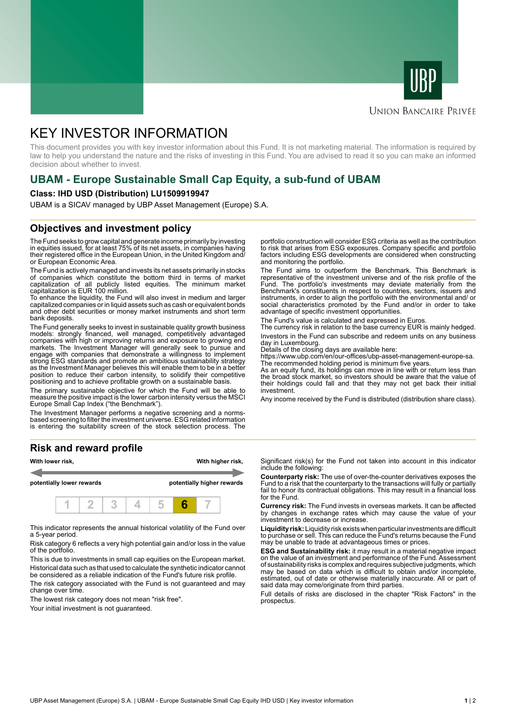



### **UNION BANCAIRE PRIVÉE**

# KEY INVESTOR INFORMATION

This document provides you with key investor information about this Fund. It is not marketing material. The information is required by law to help you understand the nature and the risks of investing in this Fund. You are advised to read it so you can make an informed decision about whether to invest.

# **UBAM - Europe Sustainable Small Cap Equity, a sub-fund of UBAM**

#### **Class: IHD USD (Distribution) LU1509919947**

UBAM is a SICAV managed by UBP Asset Management (Europe) S.A.

### **Objectives and investment policy**

The Fund seeks to grow capital and generate income primarily by investing in equities issued, for at least 75% of its net assets, in companies having their registered office in the European Union, in the United Kingdom and/ or European Economic Area.

The Fund is actively managed and invests its net assets primarily in stocks of companies which constitute the bottom third in terms of market capitalization of all publicly listed equities. The minimum market capitalization is EUR 100 million.

To enhance the liquidity, the Fund will also invest in medium and larger capitalized companies or in liquid assets such as cash or equivalent bonds and other debt securities or money market instruments and short term bank deposits.

The Fund generally seeks to invest in sustainable quality growth business models: strongly financed, well managed, competitively advantaged companies with high or improving returns and exposure to growing end markets. The Investment Manager will generally seek to pursue and engage with companies that demonstrate a willingness to implement strong ESG standards and promote an ambitious sustainability strategy as the Investment Manager believes this will enable them to be in a better position to reduce their carbon intensity, to solidify their competitive positioning and to achieve profitable growth on a sustainable basis.

The primary sustainable objective for which the Fund will be able to measure the positive impact is the lower carbon intensity versus the MSCI Europe Small Cap Index ("the Benchmark").

The Investment Manager performs a negative screening and a normsbased screening to filter the investment universe. ESG related information is entering the suitability screen of the stock selection process. The

#### **Risk and reward profile**



This indicator represents the annual historical volatility of the Fund over a 5-year period.

Risk category 6 reflects a very high potential gain and/or loss in the value of the portfolio.

This is due to investments in small cap equities on the European market. Historical data such as that used to calculate the synthetic indicator cannot be considered as a reliable indication of the Fund's future risk profile.

The risk category associated with the Fund is not guaranteed and may change over time.

The lowest risk category does not mean "risk free".

Your initial investment is not quaranteed.

portfolio construction will consider ESG criteria as well as the contribution to risk that arises from ESG exposures. Company specific and portfolio factors including ESG developments are considered when constructing and monitoring the portfolio.

The Fund aims to outperform the Benchmark. This Benchmark is representative of the investment universe and of the risk profile of the Fund. The portfolio's investments may deviate materially from the Benchmark's constituents in respect to countries, sectors, issuers and instruments, in order to align the portfolio with the environmental and/ or social characteristics promoted by the Fund and/or in order to take advantage of specific investment opportunities.

The Fund's value is calculated and expressed in Euros.

The currency risk in relation to the base currency EUR is mainly hedged. Investors in the Fund can subscribe and redeem units on any business day in Luxembourg.

Details of the closing days are available here:

https://www.ubp.com/en/our-offices/ubp-asset-management-europe-sa. The recommended holding period is minimum five years.

As an equity fund, its holdings can move in line with or return less than the broad stock market, so investors should be aware that the value of their holdings could fall and that they may not get back their initial investment.

Any income received by the Fund is distributed (distribution share class).

Significant risk(s) for the Fund not taken into account in this indicator include the following:

**Counterparty risk:** The use of over-the-counter derivatives exposes the Fund to a risk that the counterparty to the transactions will fully or partially fail to honor its contractual obligations. This may result in a financial loss for the Fund.

**Currency risk:** The Fund invests in overseas markets. It can be affected by changes in exchange rates which may cause the value of your investment to decrease or increase.

**Liquidity risk:** Liquidity risk exists when particular investments are difficult to purchase or sell. This can reduce the Fund's returns because the Fund may be unable to trade at advantageous times or prices.

**ESG and Sustainability risk:** it may result in a material negative impact on the value of an investment and performance of the Fund. Assessment of sustainability risks is complex and requires subjective judgments, which may be based on data which is difficult to obtain and/or incomplete, estimated, out of date or otherwise materially inaccurate. All or part of said data may come/originate from third parties.

Full details of risks are disclosed in the chapter "Risk Factors" in the prospectus.